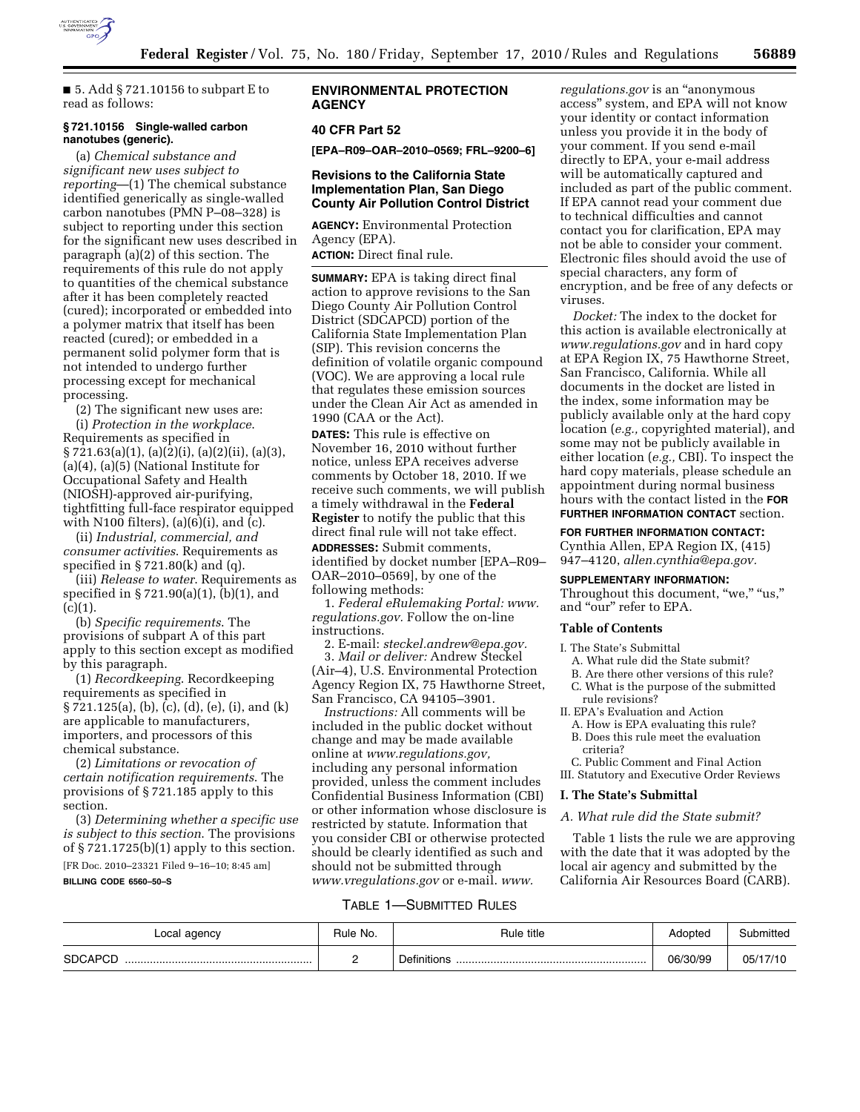

■ 5. Add § 721.10156 to subpart E to read as follows:

#### **§ 721.10156 Single-walled carbon nanotubes (generic).**

(a) *Chemical substance and significant new uses subject to reporting*—(1) The chemical substance identified generically as single-walled carbon nanotubes (PMN P–08–328) is subject to reporting under this section for the significant new uses described in paragraph (a)(2) of this section. The requirements of this rule do not apply to quantities of the chemical substance after it has been completely reacted (cured); incorporated or embedded into a polymer matrix that itself has been reacted (cured); or embedded in a permanent solid polymer form that is not intended to undergo further processing except for mechanical processing.

(2) The significant new uses are:

(i) *Protection in the workplace*. Requirements as specified in § 721.63(a)(1), (a)(2)(i), (a)(2)(ii), (a)(3), (a)(4), (a)(5) (National Institute for Occupational Safety and Health (NIOSH)-approved air-purifying, tightfitting full-face respirator equipped with N100 filters),  $(a)(6)(i)$ , and  $(c)$ .

(ii) *Industrial, commercial, and consumer activities*. Requirements as specified in  $\S 721.80(k)$  and (q).

(iii) *Release to water*. Requirements as specified in § 721.90(a)(1), (b)(1), and  $(c)(1)$ .

(b) *Specific requirements*. The provisions of subpart A of this part apply to this section except as modified by this paragraph.

(1) *Recordkeeping*. Recordkeeping requirements as specified in § 721.125(a), (b), (c), (d), (e), (i), and (k) are applicable to manufacturers, importers, and processors of this chemical substance.

(2) *Limitations or revocation of certain notification requirements*. The provisions of § 721.185 apply to this section.

(3) *Determining whether a specific use is subject to this section*. The provisions of  $\S 721.1725(b)(1)$  apply to this section.

[FR Doc. 2010–23321 Filed 9–16–10; 8:45 am]

**BILLING CODE 6560–50–S** 

# **ENVIRONMENTAL PROTECTION AGENCY**

# **40 CFR Part 52**

**[EPA–R09–OAR–2010–0569; FRL–9200–6]** 

# **Revisions to the California State Implementation Plan, San Diego County Air Pollution Control District**

**AGENCY:** Environmental Protection Agency (EPA). **ACTION:** Direct final rule.

**SUMMARY:** EPA is taking direct final action to approve revisions to the San Diego County Air Pollution Control District (SDCAPCD) portion of the California State Implementation Plan (SIP). This revision concerns the definition of volatile organic compound (VOC). We are approving a local rule that regulates these emission sources under the Clean Air Act as amended in 1990 (CAA or the Act).

**DATES:** This rule is effective on November 16, 2010 without further notice, unless EPA receives adverse comments by October 18, 2010. If we receive such comments, we will publish a timely withdrawal in the **Federal Register** to notify the public that this direct final rule will not take effect.

**ADDRESSES:** Submit comments, identified by docket number [EPA–R09– OAR–2010–0569], by one of the following methods:

1. *Federal eRulemaking Portal: [www.](http://www.regulations.gov) [regulations.gov.](http://www.regulations.gov)* Follow the on-line instructions.

2. E-mail: *[steckel.andrew@epa.gov.](mailto:steckel.andrew@epa.gov)*  3. *Mail or deliver:* Andrew Steckel (Air–4), U.S. Environmental Protection Agency Region IX, 75 Hawthorne Street, San Francisco, CA 94105–3901.

*Instructions:* All comments will be included in the public docket without change and may be made available online at *[www.regulations.gov,](http://www.regulations.gov)*  including any personal information provided, unless the comment includes Confidential Business Information (CBI) or other information whose disclosure is restricted by statute. Information that you consider CBI or otherwise protected should be clearly identified as such and should not be submitted through *[www.vregulations.gov](http://www.vregulations.gov)* or e-mail. *[www.](http://www.regulations.gov)*

*[regulations.gov](http://www.regulations.gov)* is an ''anonymous access'' system, and EPA will not know your identity or contact information unless you provide it in the body of your comment. If you send e-mail directly to EPA, your e-mail address will be automatically captured and included as part of the public comment. If EPA cannot read your comment due to technical difficulties and cannot contact you for clarification, EPA may not be able to consider your comment. Electronic files should avoid the use of special characters, any form of encryption, and be free of any defects or viruses.

*Docket:* The index to the docket for this action is available electronically at *[www.regulations.gov](http://www.regulations.gov)* and in hard copy at EPA Region IX, 75 Hawthorne Street, San Francisco, California. While all documents in the docket are listed in the index, some information may be publicly available only at the hard copy location (*e.g.,* copyrighted material), and some may not be publicly available in either location (*e.g.,* CBI). To inspect the hard copy materials, please schedule an appointment during normal business hours with the contact listed in the **FOR FURTHER INFORMATION CONTACT** section.

### **FOR FURTHER INFORMATION CONTACT:**

Cynthia Allen, EPA Region IX, (415) 947–4120, *[allen.cynthia@epa.gov.](mailto:allen.cynthia@epa.gov)* 

### **SUPPLEMENTARY INFORMATION:**

Throughout this document, "we," "us," and "our" refer to EPA.

### **Table of Contents**

- I. The State's Submittal
	- A. What rule did the State submit?
	- B. Are there other versions of this rule?
	- C. What is the purpose of the submitted rule revisions?
- II. EPA's Evaluation and Action
- A. How is EPA evaluating this rule?
- B. Does this rule meet the evaluation criteria?
- 

C. Public Comment and Final Action III. Statutory and Executive Order Reviews

#### **I. The State's Submittal**

### *A. What rule did the State submit?*

Table 1 lists the rule we are approving with the date that it was adopted by the local air agency and submitted by the California Air Resources Board (CARB).

# TABLE 1—SUBMITTED RULES

| ∟ocal agency   | Rule No. | Rule title  | Adoptec  | Submitted |
|----------------|----------|-------------|----------|-----------|
| <b>SDCAPCI</b> |          | Definitions | 06/30/99 | 05/17/10  |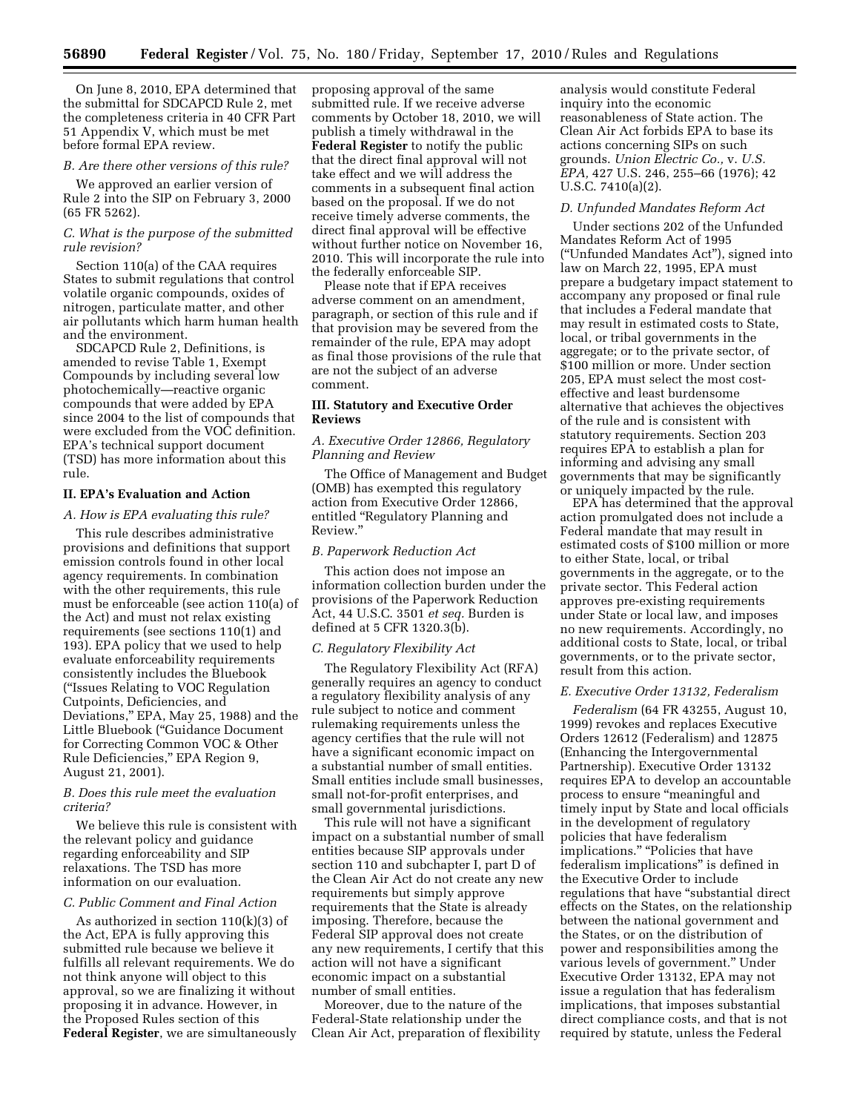On June 8, 2010, EPA determined that the submittal for SDCAPCD Rule 2, met the completeness criteria in 40 CFR Part 51 Appendix V, which must be met before formal EPA review.

### *B. Are there other versions of this rule?*

We approved an earlier version of Rule 2 into the SIP on February 3, 2000 (65 FR 5262).

## *C. What is the purpose of the submitted rule revision?*

Section 110(a) of the CAA requires States to submit regulations that control volatile organic compounds, oxides of nitrogen, particulate matter, and other air pollutants which harm human health and the environment.

SDCAPCD Rule 2, Definitions, is amended to revise Table 1, Exempt Compounds by including several low photochemically—reactive organic compounds that were added by EPA since 2004 to the list of compounds that were excluded from the VOC definition. EPA's technical support document (TSD) has more information about this rule.

# **II. EPA's Evaluation and Action**

#### *A. How is EPA evaluating this rule?*

This rule describes administrative provisions and definitions that support emission controls found in other local agency requirements. In combination with the other requirements, this rule must be enforceable (see action 110(a) of the Act) and must not relax existing requirements (see sections 110(1) and 193). EPA policy that we used to help evaluate enforceability requirements consistently includes the Bluebook (''Issues Relating to VOC Regulation Cutpoints, Deficiencies, and Deviations,'' EPA, May 25, 1988) and the Little Bluebook (''Guidance Document for Correcting Common VOC & Other Rule Deficiencies,'' EPA Region 9, August 21, 2001).

### *B. Does this rule meet the evaluation criteria?*

We believe this rule is consistent with the relevant policy and guidance regarding enforceability and SIP relaxations. The TSD has more information on our evaluation.

### *C. Public Comment and Final Action*

As authorized in section 110(k)(3) of the Act, EPA is fully approving this submitted rule because we believe it fulfills all relevant requirements. We do not think anyone will object to this approval, so we are finalizing it without proposing it in advance. However, in the Proposed Rules section of this **Federal Register**, we are simultaneously

proposing approval of the same submitted rule. If we receive adverse comments by October 18, 2010, we will publish a timely withdrawal in the **Federal Register** to notify the public that the direct final approval will not take effect and we will address the comments in a subsequent final action based on the proposal. If we do not receive timely adverse comments, the direct final approval will be effective without further notice on November 16, 2010. This will incorporate the rule into the federally enforceable SIP.

Please note that if EPA receives adverse comment on an amendment, paragraph, or section of this rule and if that provision may be severed from the remainder of the rule, EPA may adopt as final those provisions of the rule that are not the subject of an adverse comment.

# **III. Statutory and Executive Order Reviews**

### *A. Executive Order 12866, Regulatory Planning and Review*

The Office of Management and Budget (OMB) has exempted this regulatory action from Executive Order 12866, entitled ''Regulatory Planning and Review.''

#### *B. Paperwork Reduction Act*

This action does not impose an information collection burden under the provisions of the Paperwork Reduction Act, 44 U.S.C. 3501 *et seq.* Burden is defined at 5 CFR 1320.3(b).

### *C. Regulatory Flexibility Act*

The Regulatory Flexibility Act (RFA) generally requires an agency to conduct a regulatory flexibility analysis of any rule subject to notice and comment rulemaking requirements unless the agency certifies that the rule will not have a significant economic impact on a substantial number of small entities. Small entities include small businesses, small not-for-profit enterprises, and small governmental jurisdictions.

This rule will not have a significant impact on a substantial number of small entities because SIP approvals under section 110 and subchapter I, part D of the Clean Air Act do not create any new requirements but simply approve requirements that the State is already imposing. Therefore, because the Federal SIP approval does not create any new requirements, I certify that this action will not have a significant economic impact on a substantial number of small entities.

Moreover, due to the nature of the Federal-State relationship under the Clean Air Act, preparation of flexibility

analysis would constitute Federal inquiry into the economic reasonableness of State action. The Clean Air Act forbids EPA to base its actions concerning SIPs on such grounds. *Union Electric Co.,* v. *U.S. EPA,* 427 U.S. 246, 255–66 (1976); 42 U.S.C. 7410(a)(2).

#### *D. Unfunded Mandates Reform Act*

Under sections 202 of the Unfunded Mandates Reform Act of 1995 (''Unfunded Mandates Act''), signed into law on March 22, 1995, EPA must prepare a budgetary impact statement to accompany any proposed or final rule that includes a Federal mandate that may result in estimated costs to State, local, or tribal governments in the aggregate; or to the private sector, of \$100 million or more. Under section 205, EPA must select the most costeffective and least burdensome alternative that achieves the objectives of the rule and is consistent with statutory requirements. Section 203 requires EPA to establish a plan for informing and advising any small governments that may be significantly or uniquely impacted by the rule.

EPA has determined that the approval action promulgated does not include a Federal mandate that may result in estimated costs of \$100 million or more to either State, local, or tribal governments in the aggregate, or to the private sector. This Federal action approves pre-existing requirements under State or local law, and imposes no new requirements. Accordingly, no additional costs to State, local, or tribal governments, or to the private sector, result from this action.

#### *E. Executive Order 13132, Federalism*

*Federalism* (64 FR 43255, August 10, 1999) revokes and replaces Executive Orders 12612 (Federalism) and 12875 (Enhancing the Intergovernmental Partnership). Executive Order 13132 requires EPA to develop an accountable process to ensure "meaningful and timely input by State and local officials in the development of regulatory policies that have federalism implications." "Policies that have federalism implications'' is defined in the Executive Order to include regulations that have "substantial direct effects on the States, on the relationship between the national government and the States, or on the distribution of power and responsibilities among the various levels of government.'' Under Executive Order 13132, EPA may not issue a regulation that has federalism implications, that imposes substantial direct compliance costs, and that is not required by statute, unless the Federal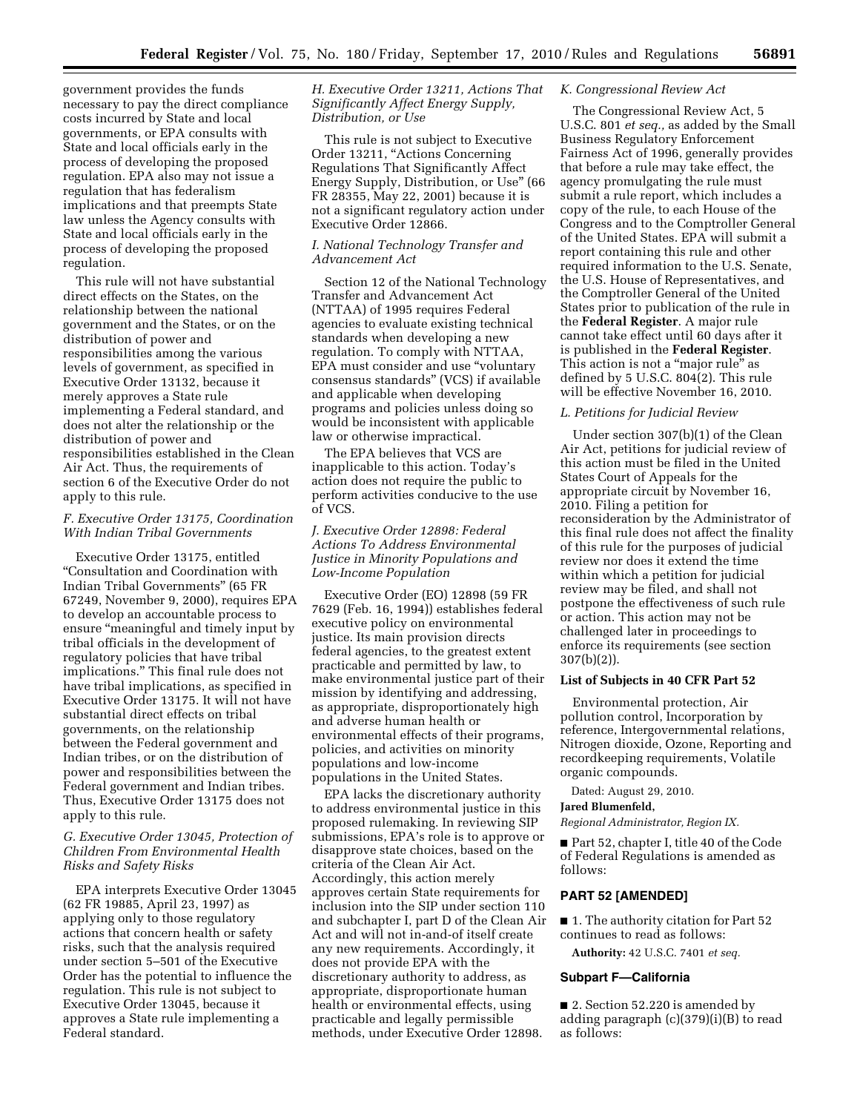government provides the funds necessary to pay the direct compliance costs incurred by State and local governments, or EPA consults with State and local officials early in the process of developing the proposed regulation. EPA also may not issue a regulation that has federalism implications and that preempts State law unless the Agency consults with State and local officials early in the process of developing the proposed regulation.

This rule will not have substantial direct effects on the States, on the relationship between the national government and the States, or on the distribution of power and responsibilities among the various levels of government, as specified in Executive Order 13132, because it merely approves a State rule implementing a Federal standard, and does not alter the relationship or the distribution of power and responsibilities established in the Clean Air Act. Thus, the requirements of section 6 of the Executive Order do not apply to this rule.

### *F. Executive Order 13175, Coordination With Indian Tribal Governments*

Executive Order 13175, entitled ''Consultation and Coordination with Indian Tribal Governments'' (65 FR 67249, November 9, 2000), requires EPA to develop an accountable process to ensure ''meaningful and timely input by tribal officials in the development of regulatory policies that have tribal implications.'' This final rule does not have tribal implications, as specified in Executive Order 13175. It will not have substantial direct effects on tribal governments, on the relationship between the Federal government and Indian tribes, or on the distribution of power and responsibilities between the Federal government and Indian tribes. Thus, Executive Order 13175 does not apply to this rule.

# *G. Executive Order 13045, Protection of Children From Environmental Health Risks and Safety Risks*

EPA interprets Executive Order 13045 (62 FR 19885, April 23, 1997) as applying only to those regulatory actions that concern health or safety risks, such that the analysis required under section 5–501 of the Executive Order has the potential to influence the regulation. This rule is not subject to Executive Order 13045, because it approves a State rule implementing a Federal standard.

*H. Executive Order 13211, Actions That Significantly Affect Energy Supply, Distribution, or Use* 

This rule is not subject to Executive Order 13211, "Actions Concerning Regulations That Significantly Affect Energy Supply, Distribution, or Use'' (66 FR 28355, May 22, 2001) because it is not a significant regulatory action under Executive Order 12866.

## *I. National Technology Transfer and Advancement Act*

Section 12 of the National Technology Transfer and Advancement Act (NTTAA) of 1995 requires Federal agencies to evaluate existing technical standards when developing a new regulation. To comply with NTTAA, EPA must consider and use ''voluntary consensus standards'' (VCS) if available and applicable when developing programs and policies unless doing so would be inconsistent with applicable law or otherwise impractical.

The EPA believes that VCS are inapplicable to this action. Today's action does not require the public to perform activities conducive to the use of VCS.

# *J. Executive Order 12898: Federal Actions To Address Environmental Justice in Minority Populations and Low-Income Population*

Executive Order (EO) 12898 (59 FR 7629 (Feb. 16, 1994)) establishes federal executive policy on environmental justice. Its main provision directs federal agencies, to the greatest extent practicable and permitted by law, to make environmental justice part of their mission by identifying and addressing, as appropriate, disproportionately high and adverse human health or environmental effects of their programs, policies, and activities on minority populations and low-income populations in the United States.

EPA lacks the discretionary authority to address environmental justice in this proposed rulemaking. In reviewing SIP submissions, EPA's role is to approve or disapprove state choices, based on the criteria of the Clean Air Act. Accordingly, this action merely approves certain State requirements for inclusion into the SIP under section 110 and subchapter I, part D of the Clean Air Act and will not in-and-of itself create any new requirements. Accordingly, it does not provide EPA with the discretionary authority to address, as appropriate, disproportionate human health or environmental effects, using practicable and legally permissible methods, under Executive Order 12898.

#### *K. Congressional Review Act*

The Congressional Review Act, 5 U.S.C. 801 *et seq.,* as added by the Small Business Regulatory Enforcement Fairness Act of 1996, generally provides that before a rule may take effect, the agency promulgating the rule must submit a rule report, which includes a copy of the rule, to each House of the Congress and to the Comptroller General of the United States. EPA will submit a report containing this rule and other required information to the U.S. Senate, the U.S. House of Representatives, and the Comptroller General of the United States prior to publication of the rule in the **Federal Register**. A major rule cannot take effect until 60 days after it is published in the **Federal Register**. This action is not a "major rule" as defined by 5 U.S.C. 804(2). This rule will be effective November 16, 2010.

#### *L. Petitions for Judicial Review*

Under section 307(b)(1) of the Clean Air Act, petitions for judicial review of this action must be filed in the United States Court of Appeals for the appropriate circuit by November 16, 2010. Filing a petition for reconsideration by the Administrator of this final rule does not affect the finality of this rule for the purposes of judicial review nor does it extend the time within which a petition for judicial review may be filed, and shall not postpone the effectiveness of such rule or action. This action may not be challenged later in proceedings to enforce its requirements (see section 307(b)(2)).

### **List of Subjects in 40 CFR Part 52**

Environmental protection, Air pollution control, Incorporation by reference, Intergovernmental relations, Nitrogen dioxide, Ozone, Reporting and recordkeeping requirements, Volatile organic compounds.

Dated: August 29, 2010.

#### **Jared Blumenfeld,**

*Regional Administrator, Region IX.* 

■ Part 52, chapter I, title 40 of the Code of Federal Regulations is amended as follows:

#### **PART 52 [AMENDED]**

■ 1. The authority citation for Part 52 continues to read as follows:

**Authority:** 42 U.S.C. 7401 *et seq.* 

### **Subpart F—California**

■ 2. Section 52.220 is amended by adding paragraph (c)(379)(i)(B) to read as follows: